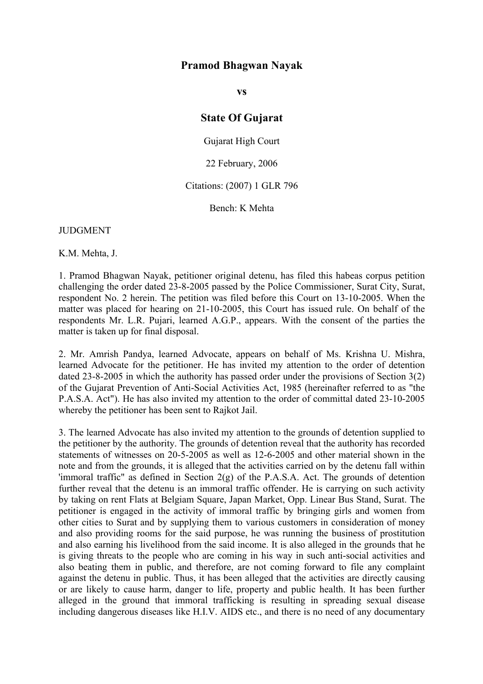# **Pramod Bhagwan Nayak**

**vs**

## **State Of Gujarat**

Gujarat High Court

22 February, 2006

### Citations: (2007) 1 GLR 796

Bench: K Mehta

**JUDGMENT** 

K.M. Mehta, J.

1. Pramod Bhagwan Nayak, petitioner original detenu, has filed this habeas corpus petition challenging the order dated 23-8-2005 passed by the Police Commissioner, Surat City, Surat, respondent No. 2 herein. The petition was filed before this Court on 13-10-2005. When the matter was placed for hearing on 21-10-2005, this Court has issued rule. On behalf of the respondents Mr. L.R. Pujari, learned A.G.P., appears. With the consent of the parties the matter is taken up for final disposal.

2. Mr. Amrish Pandya, learned Advocate, appears on behalf of Ms. Krishna U. Mishra, learned Advocate for the petitioner. He has invited my attention to the order of detention dated 23-8-2005 in which the authority has passed order under the provisions of Section 3(2) of the Gujarat Prevention of Anti-Social Activities Act, 1985 (hereinafter referred to as "the P.A.S.A. Act"). He has also invited my attention to the order of committal dated 23-10-2005 whereby the petitioner has been sent to Rajkot Jail.

3. The learned Advocate has also invited my attention to the grounds of detention supplied to the petitioner by the authority. The grounds of detention reveal that the authority has recorded statements of witnesses on 20-5-2005 as well as 12-6-2005 and other material shown in the note and from the grounds, it is alleged that the activities carried on by the detenu fall within 'immoral traffic" as defined in Section 2(g) of the P.A.S.A. Act. The grounds of detention further reveal that the detenu is an immoral traffic offender. He is carrying on such activity by taking on rent Flats at Belgiam Square, Japan Market, Opp. Linear Bus Stand, Surat. The petitioner is engaged in the activity of immoral traffic by bringing girls and women from other cities to Surat and by supplying them to various customers in consideration of money and also providing rooms for the said purpose, he was running the business of prostitution and also earning his livelihood from the said income. It is also alleged in the grounds that he is giving threats to the people who are coming in his way in such anti-social activities and also beating them in public, and therefore, are not coming forward to file any complaint against the detenu in public. Thus, it has been alleged that the activities are directly causing or are likely to cause harm, danger to life, property and public health. It has been further alleged in the ground that immoral trafficking is resulting in spreading sexual disease including dangerous diseases like H.I.V. AIDS etc., and there is no need of any documentary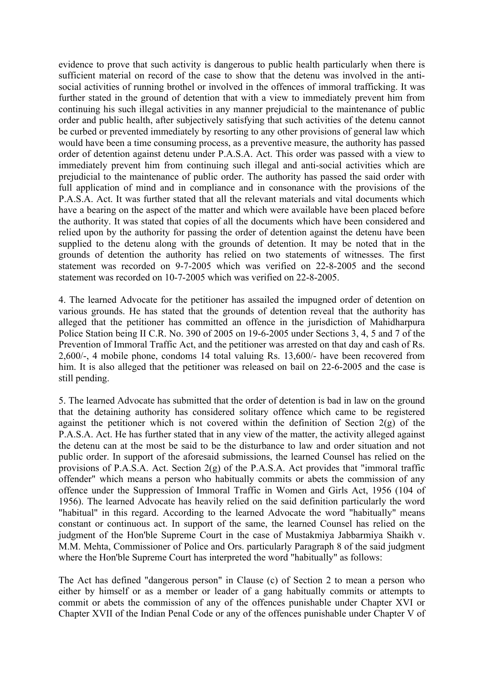evidence to prove that such activity is dangerous to public health particularly when there is sufficient material on record of the case to show that the detenu was involved in the antisocial activities of running brothel or involved in the offences of immoral trafficking. It was further stated in the ground of detention that with a view to immediately prevent him from continuing his such illegal activities in any manner prejudicial to the maintenance of public order and public health, after subjectively satisfying that such activities of the detenu cannot be curbed or prevented immediately by resorting to any other provisions of general law which would have been a time consuming process, as a preventive measure, the authority has passed order of detention against detenu under P.A.S.A. Act. This order was passed with a view to immediately prevent him from continuing such illegal and anti-social activities which are prejudicial to the maintenance of public order. The authority has passed the said order with full application of mind and in compliance and in consonance with the provisions of the P.A.S.A. Act. It was further stated that all the relevant materials and vital documents which have a bearing on the aspect of the matter and which were available have been placed before the authority. It was stated that copies of all the documents which have been considered and relied upon by the authority for passing the order of detention against the detenu have been supplied to the detenu along with the grounds of detention. It may be noted that in the grounds of detention the authority has relied on two statements of witnesses. The first statement was recorded on 9-7-2005 which was verified on 22-8-2005 and the second statement was recorded on 10-7-2005 which was verified on 22-8-2005.

4. The learned Advocate for the petitioner has assailed the impugned order of detention on various grounds. He has stated that the grounds of detention reveal that the authority has alleged that the petitioner has committed an offence in the jurisdiction of Mahidharpura Police Station being II C.R. No. 390 of 2005 on 19-6-2005 under Sections 3, 4, 5 and 7 of the Prevention of Immoral Traffic Act, and the petitioner was arrested on that day and cash of Rs. 2,600/-, 4 mobile phone, condoms 14 total valuing Rs. 13,600/- have been recovered from him. It is also alleged that the petitioner was released on bail on 22-6-2005 and the case is still pending.

5. The learned Advocate has submitted that the order of detention is bad in law on the ground that the detaining authority has considered solitary offence which came to be registered against the petitioner which is not covered within the definition of Section 2(g) of the P.A.S.A. Act. He has further stated that in any view of the matter, the activity alleged against the detenu can at the most be said to be the disturbance to law and order situation and not public order. In support of the aforesaid submissions, the learned Counsel has relied on the provisions of P.A.S.A. Act. Section 2(g) of the P.A.S.A. Act provides that "immoral traffic offender" which means a person who habitually commits or abets the commission of any offence under the Suppression of Immoral Traffic in Women and Girls Act, 1956 (104 of 1956). The learned Advocate has heavily relied on the said definition particularly the word "habitual" in this regard. According to the learned Advocate the word "habitually" means constant or continuous act. In support of the same, the learned Counsel has relied on the judgment of the Hon'ble Supreme Court in the case of Mustakmiya Jabbarmiya Shaikh v. M.M. Mehta, Commissioner of Police and Ors. particularly Paragraph 8 of the said judgment where the Hon'ble Supreme Court has interpreted the word "habitually" as follows:

The Act has defined "dangerous person" in Clause (c) of Section 2 to mean a person who either by himself or as a member or leader of a gang habitually commits or attempts to commit or abets the commission of any of the offences punishable under Chapter XVI or Chapter XVII of the Indian Penal Code or any of the offences punishable under Chapter V of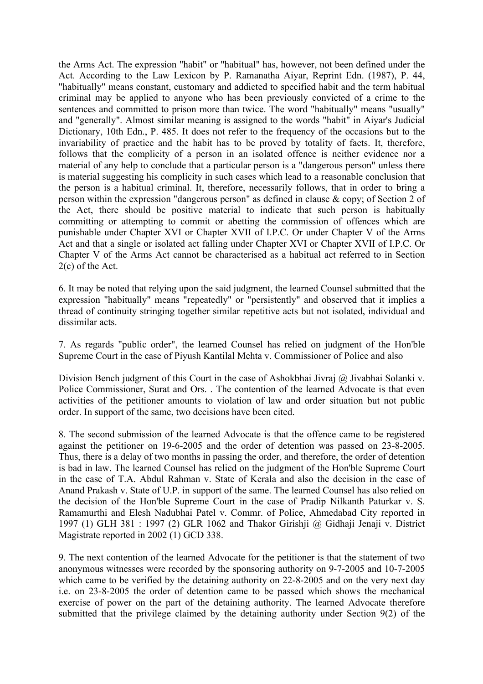the Arms Act. The expression "habit" or "habitual" has, however, not been defined under the Act. According to the Law Lexicon by P. Ramanatha Aiyar, Reprint Edn. (1987), P. 44, "habitually" means constant, customary and addicted to specified habit and the term habitual criminal may be applied to anyone who has been previously convicted of a crime to the sentences and committed to prison more than twice. The word "habitually" means "usually" and "generally". Almost similar meaning is assigned to the words "habit" in Aiyar's Judicial Dictionary, 10th Edn., P. 485. It does not refer to the frequency of the occasions but to the invariability of practice and the habit has to be proved by totality of facts. It, therefore, follows that the complicity of a person in an isolated offence is neither evidence nor a material of any help to conclude that a particular person is a "dangerous person" unless there is material suggesting his complicity in such cases which lead to a reasonable conclusion that the person is a habitual criminal. It, therefore, necessarily follows, that in order to bring a person within the expression "dangerous person" as defined in clause & copy; of Section 2 of the Act, there should be positive material to indicate that such person is habitually committing or attempting to commit or abetting the commission of offences which are punishable under Chapter XVI or Chapter XVII of I.P.C. Or under Chapter V of the Arms Act and that a single or isolated act falling under Chapter XVI or Chapter XVII of I.P.C. Or Chapter V of the Arms Act cannot be characterised as a habitual act referred to in Section 2(c) of the Act.

6. It may be noted that relying upon the said judgment, the learned Counsel submitted that the expression "habitually" means "repeatedly" or "persistently" and observed that it implies a thread of continuity stringing together similar repetitive acts but not isolated, individual and dissimilar acts.

7. As regards "public order", the learned Counsel has relied on judgment of the Hon'ble Supreme Court in the case of Piyush Kantilal Mehta v. Commissioner of Police and also

Division Bench judgment of this Court in the case of Ashokbhai Jivraj @ Jivabhai Solanki v. Police Commissioner, Surat and Ors. . The contention of the learned Advocate is that even activities of the petitioner amounts to violation of law and order situation but not public order. In support of the same, two decisions have been cited.

8. The second submission of the learned Advocate is that the offence came to be registered against the petitioner on 19-6-2005 and the order of detention was passed on 23-8-2005. Thus, there is a delay of two months in passing the order, and therefore, the order of detention is bad in law. The learned Counsel has relied on the judgment of the Hon'ble Supreme Court in the case of T.A. Abdul Rahman v. State of Kerala and also the decision in the case of Anand Prakash v. State of U.P. in support of the same. The learned Counsel has also relied on the decision of the Hon'ble Supreme Court in the case of Pradip Nilkanth Paturkar v. S. Ramamurthi and Elesh Nadubhai Patel v. Commr. of Police, Ahmedabad City reported in 1997 (1) GLH 381 : 1997 (2) GLR 1062 and Thakor Girishji @ Gidhaji Jenaji v. District Magistrate reported in 2002 (1) GCD 338.

9. The next contention of the learned Advocate for the petitioner is that the statement of two anonymous witnesses were recorded by the sponsoring authority on 9-7-2005 and 10-7-2005 which came to be verified by the detaining authority on 22-8-2005 and on the very next day i.e. on 23-8-2005 the order of detention came to be passed which shows the mechanical exercise of power on the part of the detaining authority. The learned Advocate therefore submitted that the privilege claimed by the detaining authority under Section 9(2) of the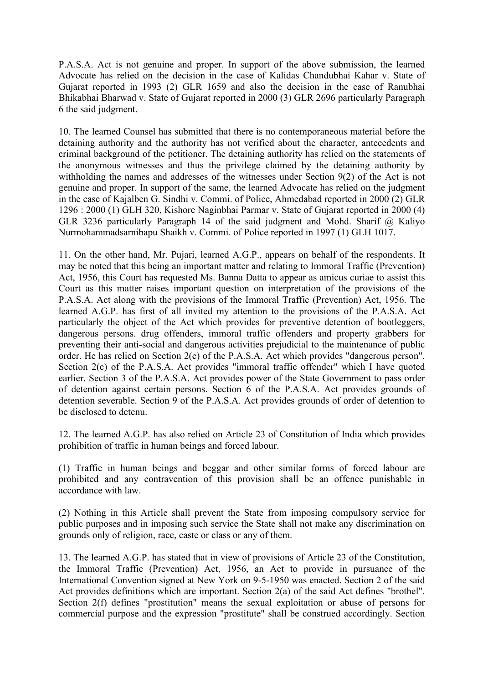P.A.S.A. Act is not genuine and proper. In support of the above submission, the learned Advocate has relied on the decision in the case of Kalidas Chandubhai Kahar v. State of Gujarat reported in 1993 (2) GLR 1659 and also the decision in the case of Ranubhai Bhikabhai Bharwad v. State of Gujarat reported in 2000 (3) GLR 2696 particularly Paragraph 6 the said judgment.

10. The learned Counsel has submitted that there is no contemporaneous material before the detaining authority and the authority has not verified about the character, antecedents and criminal background of the petitioner. The detaining authority has relied on the statements of the anonymous witnesses and thus the privilege claimed by the detaining authority by withholding the names and addresses of the witnesses under Section 9(2) of the Act is not genuine and proper. In support of the same, the learned Advocate has relied on the judgment in the case of Kajalben G. Sindhi v. Commi. of Police, Ahmedabad reported in 2000 (2) GLR 1296 : 2000 (1) GLH 320, Kishore Naginbhai Parmar v. State of Gujarat reported in 2000 (4) GLR 3236 particularly Paragraph 14 of the said judgment and Mohd. Sharif @ Kaliyo Nurmohammadsarnibapu Shaikh v. Commi. of Police reported in 1997 (1) GLH 1017.

11. On the other hand, Mr. Pujari, learned A.G.P., appears on behalf of the respondents. It may be noted that this being an important matter and relating to Immoral Traffic (Prevention) Act, 1956, this Court has requested Ms. Banna Datta to appear as amicus curiae to assist this Court as this matter raises important question on interpretation of the provisions of the P.A.S.A. Act along with the provisions of the Immoral Traffic (Prevention) Act, 1956. The learned A.G.P. has first of all invited my attention to the provisions of the P.A.S.A. Act particularly the object of the Act which provides for preventive detention of bootleggers, dangerous persons. drug offenders, immoral traffic offenders and property grabbers for preventing their anti-social and dangerous activities prejudicial to the maintenance of public order. He has relied on Section 2(c) of the P.A.S.A. Act which provides "dangerous person". Section 2(c) of the P.A.S.A. Act provides "immoral traffic offender" which I have quoted earlier. Section 3 of the P.A.S.A. Act provides power of the State Government to pass order of detention against certain persons. Section 6 of the P.A.S.A. Act provides grounds of detention severable. Section 9 of the P.A.S.A. Act provides grounds of order of detention to be disclosed to detenu.

12. The learned A.G.P. has also relied on Article 23 of Constitution of India which provides prohibition of traffic in human beings and forced labour.

(1) Traffic in human beings and beggar and other similar forms of forced labour are prohibited and any contravention of this provision shall be an offence punishable in accordance with law.

(2) Nothing in this Article shall prevent the State from imposing compulsory service for public purposes and in imposing such service the State shall not make any discrimination on grounds only of religion, race, caste or class or any of them.

13. The learned A.G.P. has stated that in view of provisions of Article 23 of the Constitution, the Immoral Traffic (Prevention) Act, 1956, an Act to provide in pursuance of the International Convention signed at New York on 9-5-1950 was enacted. Section 2 of the said Act provides definitions which are important. Section 2(a) of the said Act defines "brothel". Section 2(f) defines "prostitution" means the sexual exploitation or abuse of persons for commercial purpose and the expression "prostitute" shall be construed accordingly. Section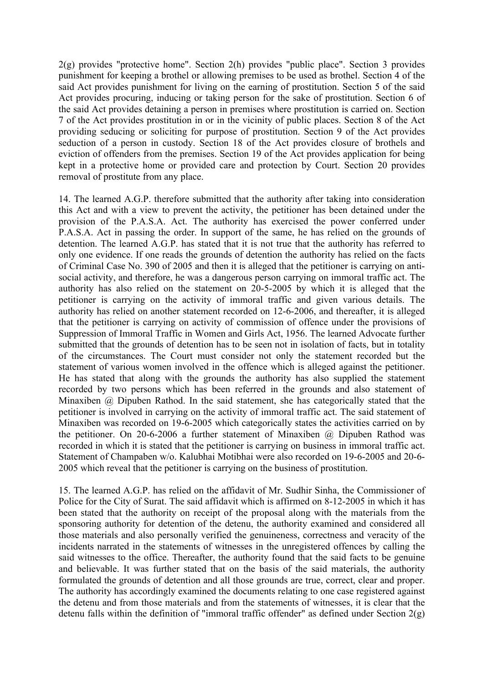2(g) provides "protective home". Section 2(h) provides "public place". Section 3 provides punishment for keeping a brothel or allowing premises to be used as brothel. Section 4 of the said Act provides punishment for living on the earning of prostitution. Section 5 of the said Act provides procuring, inducing or taking person for the sake of prostitution. Section 6 of the said Act provides detaining a person in premises where prostitution is carried on. Section 7 of the Act provides prostitution in or in the vicinity of public places. Section 8 of the Act providing seducing or soliciting for purpose of prostitution. Section 9 of the Act provides seduction of a person in custody. Section 18 of the Act provides closure of brothels and eviction of offenders from the premises. Section 19 of the Act provides application for being kept in a protective home or provided care and protection by Court. Section 20 provides removal of prostitute from any place.

14. The learned A.G.P. therefore submitted that the authority after taking into consideration this Act and with a view to prevent the activity, the petitioner has been detained under the provision of the P.A.S.A. Act. The authority has exercised the power conferred under P.A.S.A. Act in passing the order. In support of the same, he has relied on the grounds of detention. The learned A.G.P. has stated that it is not true that the authority has referred to only one evidence. If one reads the grounds of detention the authority has relied on the facts of Criminal Case No. 390 of 2005 and then it is alleged that the petitioner is carrying on antisocial activity, and therefore, he was a dangerous person carrying on immoral traffic act. The authority has also relied on the statement on 20-5-2005 by which it is alleged that the petitioner is carrying on the activity of immoral traffic and given various details. The authority has relied on another statement recorded on 12-6-2006, and thereafter, it is alleged that the petitioner is carrying on activity of commission of offence under the provisions of Suppression of Immoral Traffic in Women and Girls Act, 1956. The learned Advocate further submitted that the grounds of detention has to be seen not in isolation of facts, but in totality of the circumstances. The Court must consider not only the statement recorded but the statement of various women involved in the offence which is alleged against the petitioner. He has stated that along with the grounds the authority has also supplied the statement recorded by two persons which has been referred in the grounds and also statement of Minaxiben @ Dipuben Rathod. In the said statement, she has categorically stated that the petitioner is involved in carrying on the activity of immoral traffic act. The said statement of Minaxiben was recorded on 19-6-2005 which categorically states the activities carried on by the petitioner. On 20-6-2006 a further statement of Minaxiben @ Dipuben Rathod was recorded in which it is stated that the petitioner is carrying on business in immoral traffic act. Statement of Champaben w/o. Kalubhai Motibhai were also recorded on 19-6-2005 and 20-6- 2005 which reveal that the petitioner is carrying on the business of prostitution.

15. The learned A.G.P. has relied on the affidavit of Mr. Sudhir Sinha, the Commissioner of Police for the City of Surat. The said affidavit which is affirmed on 8-12-2005 in which it has been stated that the authority on receipt of the proposal along with the materials from the sponsoring authority for detention of the detenu, the authority examined and considered all those materials and also personally verified the genuineness, correctness and veracity of the incidents narrated in the statements of witnesses in the unregistered offences by calling the said witnesses to the office. Thereafter, the authority found that the said facts to be genuine and believable. It was further stated that on the basis of the said materials, the authority formulated the grounds of detention and all those grounds are true, correct, clear and proper. The authority has accordingly examined the documents relating to one case registered against the detenu and from those materials and from the statements of witnesses, it is clear that the detenu falls within the definition of "immoral traffic offender" as defined under Section 2(g)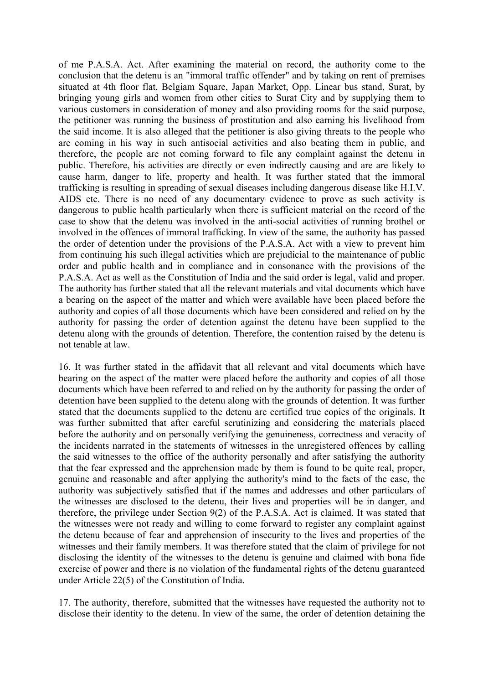of me P.A.S.A. Act. After examining the material on record, the authority come to the conclusion that the detenu is an "immoral traffic offender" and by taking on rent of premises situated at 4th floor flat, Belgiam Square, Japan Market, Opp. Linear bus stand, Surat, by bringing young girls and women from other cities to Surat City and by supplying them to various customers in consideration of money and also providing rooms for the said purpose, the petitioner was running the business of prostitution and also earning his livelihood from the said income. It is also alleged that the petitioner is also giving threats to the people who are coming in his way in such antisocial activities and also beating them in public, and therefore, the people are not coming forward to file any complaint against the detenu in public. Therefore, his activities are directly or even indirectly causing and are are likely to cause harm, danger to life, property and health. It was further stated that the immoral trafficking is resulting in spreading of sexual diseases including dangerous disease like H.I.V. AIDS etc. There is no need of any documentary evidence to prove as such activity is dangerous to public health particularly when there is sufficient material on the record of the case to show that the detenu was involved in the anti-social activities of running brothel or involved in the offences of immoral trafficking. In view of the same, the authority has passed the order of detention under the provisions of the P.A.S.A. Act with a view to prevent him from continuing his such illegal activities which are prejudicial to the maintenance of public order and public health and in compliance and in consonance with the provisions of the P.A.S.A. Act as well as the Constitution of India and the said order is legal, valid and proper. The authority has further stated that all the relevant materials and vital documents which have a bearing on the aspect of the matter and which were available have been placed before the authority and copies of all those documents which have been considered and relied on by the authority for passing the order of detention against the detenu have been supplied to the detenu along with the grounds of detention. Therefore, the contention raised by the detenu is not tenable at law.

16. It was further stated in the affidavit that all relevant and vital documents which have bearing on the aspect of the matter were placed before the authority and copies of all those documents which have been referred to and relied on by the authority for passing the order of detention have been supplied to the detenu along with the grounds of detention. It was further stated that the documents supplied to the detenu are certified true copies of the originals. It was further submitted that after careful scrutinizing and considering the materials placed before the authority and on personally verifying the genuineness, correctness and veracity of the incidents narrated in the statements of witnesses in the unregistered offences by calling the said witnesses to the office of the authority personally and after satisfying the authority that the fear expressed and the apprehension made by them is found to be quite real, proper, genuine and reasonable and after applying the authority's mind to the facts of the case, the authority was subjectively satisfied that if the names and addresses and other particulars of the witnesses are disclosed to the detenu, their lives and properties will be in danger, and therefore, the privilege under Section 9(2) of the P.A.S.A. Act is claimed. It was stated that the witnesses were not ready and willing to come forward to register any complaint against the detenu because of fear and apprehension of insecurity to the lives and properties of the witnesses and their family members. It was therefore stated that the claim of privilege for not disclosing the identity of the witnesses to the detenu is genuine and claimed with bona fide exercise of power and there is no violation of the fundamental rights of the detenu guaranteed under Article 22(5) of the Constitution of India.

17. The authority, therefore, submitted that the witnesses have requested the authority not to disclose their identity to the detenu. In view of the same, the order of detention detaining the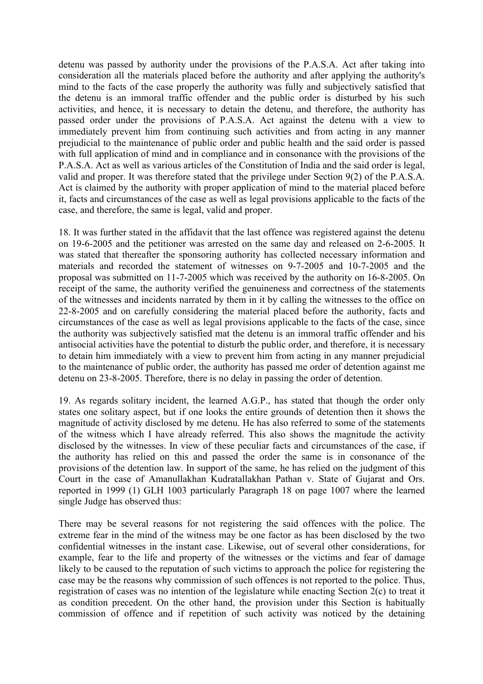detenu was passed by authority under the provisions of the P.A.S.A. Act after taking into consideration all the materials placed before the authority and after applying the authority's mind to the facts of the case properly the authority was fully and subjectively satisfied that the detenu is an immoral traffic offender and the public order is disturbed by his such activities, and hence, it is necessary to detain the detenu, and therefore, the authority has passed order under the provisions of P.A.S.A. Act against the detenu with a view to immediately prevent him from continuing such activities and from acting in any manner prejudicial to the maintenance of public order and public health and the said order is passed with full application of mind and in compliance and in consonance with the provisions of the P.A.S.A. Act as well as various articles of the Constitution of India and the said order is legal, valid and proper. It was therefore stated that the privilege under Section 9(2) of the P.A.S.A. Act is claimed by the authority with proper application of mind to the material placed before it, facts and circumstances of the case as well as legal provisions applicable to the facts of the case, and therefore, the same is legal, valid and proper.

18. It was further stated in the affidavit that the last offence was registered against the detenu on 19-6-2005 and the petitioner was arrested on the same day and released on 2-6-2005. It was stated that thereafter the sponsoring authority has collected necessary information and materials and recorded the statement of witnesses on 9-7-2005 and 10-7-2005 and the proposal was submitted on 11-7-2005 which was received by the authority on 16-8-2005. On receipt of the same, the authority verified the genuineness and correctness of the statements of the witnesses and incidents narrated by them in it by calling the witnesses to the office on 22-8-2005 and on carefully considering the material placed before the authority, facts and circumstances of the case as well as legal provisions applicable to the facts of the case, since the authority was subjectively satisfied mat the detenu is an immoral traffic offender and his antisocial activities have the potential to disturb the public order, and therefore, it is necessary to detain him immediately with a view to prevent him from acting in any manner prejudicial to the maintenance of public order, the authority has passed me order of detention against me detenu on 23-8-2005. Therefore, there is no delay in passing the order of detention.

19. As regards solitary incident, the learned A.G.P., has stated that though the order only states one solitary aspect, but if one looks the entire grounds of detention then it shows the magnitude of activity disclosed by me detenu. He has also referred to some of the statements of the witness which I have already referred. This also shows the magnitude the activity disclosed by the witnesses. In view of these peculiar facts and circumstances of the case, if the authority has relied on this and passed the order the same is in consonance of the provisions of the detention law. In support of the same, he has relied on the judgment of this Court in the case of Amanullakhan Kudratallakhan Pathan v. State of Gujarat and Ors. reported in 1999 (1) GLH 1003 particularly Paragraph 18 on page 1007 where the learned single Judge has observed thus:

There may be several reasons for not registering the said offences with the police. The extreme fear in the mind of the witness may be one factor as has been disclosed by the two confidential witnesses in the instant case. Likewise, out of several other considerations, for example, fear to the life and property of the witnesses or the victims and fear of damage likely to be caused to the reputation of such victims to approach the police for registering the case may be the reasons why commission of such offences is not reported to the police. Thus, registration of cases was no intention of the legislature while enacting Section 2(c) to treat it as condition precedent. On the other hand, the provision under this Section is habitually commission of offence and if repetition of such activity was noticed by the detaining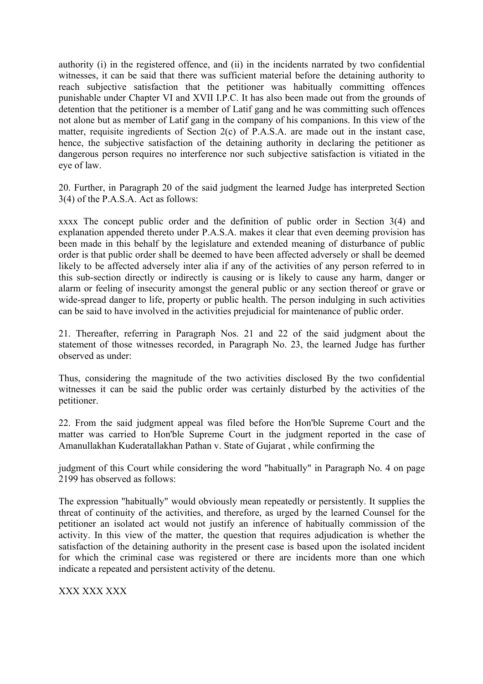authority (i) in the registered offence, and (ii) in the incidents narrated by two confidential witnesses, it can be said that there was sufficient material before the detaining authority to reach subjective satisfaction that the petitioner was habitually committing offences punishable under Chapter VI and XVII I.P.C. It has also been made out from the grounds of detention that the petitioner is a member of Latif gang and he was committing such offences not alone but as member of Latif gang in the company of his companions. In this view of the matter, requisite ingredients of Section 2(c) of P.A.S.A. are made out in the instant case, hence, the subjective satisfaction of the detaining authority in declaring the petitioner as dangerous person requires no interference nor such subjective satisfaction is vitiated in the eye of law.

20. Further, in Paragraph 20 of the said judgment the learned Judge has interpreted Section 3(4) of the P.A.S.A. Act as follows:

xxxx The concept public order and the definition of public order in Section 3(4) and explanation appended thereto under P.A.S.A. makes it clear that even deeming provision has been made in this behalf by the legislature and extended meaning of disturbance of public order is that public order shall be deemed to have been affected adversely or shall be deemed likely to be affected adversely inter alia if any of the activities of any person referred to in this sub-section directly or indirectly is causing or is likely to cause any harm, danger or alarm or feeling of insecurity amongst the general public or any section thereof or grave or wide-spread danger to life, property or public health. The person indulging in such activities can be said to have involved in the activities prejudicial for maintenance of public order.

21. Thereafter, referring in Paragraph Nos. 21 and 22 of the said judgment about the statement of those witnesses recorded, in Paragraph No. 23, the learned Judge has further observed as under:

Thus, considering the magnitude of the two activities disclosed By the two confidential witnesses it can be said the public order was certainly disturbed by the activities of the petitioner.

22. From the said judgment appeal was filed before the Hon'ble Supreme Court and the matter was carried to Hon'ble Supreme Court in the judgment reported in the case of Amanullakhan Kuderatallakhan Pathan v. State of Gujarat , while confirming the

judgment of this Court while considering the word "habitually" in Paragraph No. 4 on page 2199 has observed as follows:

The expression "habitually" would obviously mean repeatedly or persistently. It supplies the threat of continuity of the activities, and therefore, as urged by the learned Counsel for the petitioner an isolated act would not justify an inference of habitually commission of the activity. In this view of the matter, the question that requires adjudication is whether the satisfaction of the detaining authority in the present case is based upon the isolated incident for which the criminal case was registered or there are incidents more than one which indicate a repeated and persistent activity of the detenu.

XXX XXX XXX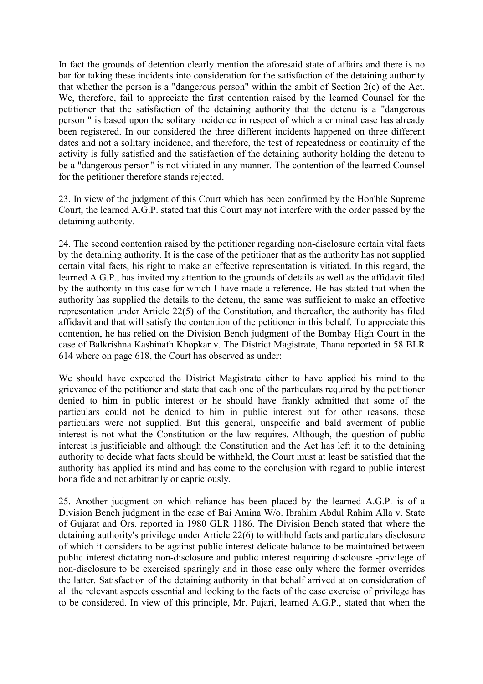In fact the grounds of detention clearly mention the aforesaid state of affairs and there is no bar for taking these incidents into consideration for the satisfaction of the detaining authority that whether the person is a "dangerous person" within the ambit of Section 2(c) of the Act. We, therefore, fail to appreciate the first contention raised by the learned Counsel for the petitioner that the satisfaction of the detaining authority that the detenu is a "dangerous person " is based upon the solitary incidence in respect of which a criminal case has already been registered. In our considered the three different incidents happened on three different dates and not a solitary incidence, and therefore, the test of repeatedness or continuity of the activity is fully satisfied and the satisfaction of the detaining authority holding the detenu to be a "dangerous person" is not vitiated in any manner. The contention of the learned Counsel for the petitioner therefore stands rejected.

23. In view of the judgment of this Court which has been confirmed by the Hon'ble Supreme Court, the learned A.G.P. stated that this Court may not interfere with the order passed by the detaining authority.

24. The second contention raised by the petitioner regarding non-disclosure certain vital facts by the detaining authority. It is the case of the petitioner that as the authority has not supplied certain vital facts, his right to make an effective representation is vitiated. In this regard, the learned A.G.P., has invited my attention to the grounds of details as well as the affidavit filed by the authority in this case for which I have made a reference. He has stated that when the authority has supplied the details to the detenu, the same was sufficient to make an effective representation under Article 22(5) of the Constitution, and thereafter, the authority has filed affidavit and that will satisfy the contention of the petitioner in this behalf. To appreciate this contention, he has relied on the Division Bench judgment of the Bombay High Court in the case of Balkrishna Kashinath Khopkar v. The District Magistrate, Thana reported in 58 BLR 614 where on page 618, the Court has observed as under:

We should have expected the District Magistrate either to have applied his mind to the grievance of the petitioner and state that each one of the particulars required by the petitioner denied to him in public interest or he should have frankly admitted that some of the particulars could not be denied to him in public interest but for other reasons, those particulars were not supplied. But this general, unspecific and bald averment of public interest is not what the Constitution or the law requires. Although, the question of public interest is justificiable and although the Constitution and the Act has left it to the detaining authority to decide what facts should be withheld, the Court must at least be satisfied that the authority has applied its mind and has come to the conclusion with regard to public interest bona fide and not arbitrarily or capriciously.

25. Another judgment on which reliance has been placed by the learned A.G.P. is of a Division Bench judgment in the case of Bai Amina W/o. Ibrahim Abdul Rahim Alla v. State of Gujarat and Ors. reported in 1980 GLR 1186. The Division Bench stated that where the detaining authority's privilege under Article 22(6) to withhold facts and particulars disclosure of which it considers to be against public interest delicate balance to be maintained between public interest dictating non-disclosure and public interest requiring disclousre -privilege of non-disclosure to be exercised sparingly and in those case only where the former overrides the latter. Satisfaction of the detaining authority in that behalf arrived at on consideration of all the relevant aspects essential and looking to the facts of the case exercise of privilege has to be considered. In view of this principle, Mr. Pujari, learned A.G.P., stated that when the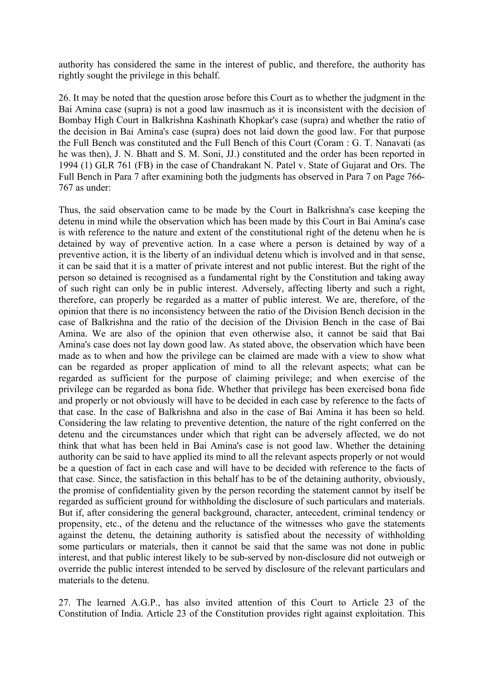authority has considered the same in the interest of public, and therefore, the authority has rightly sought the privilege in this behalf.

26. It may be noted that the question arose before this Court as to whether the judgment in the Bai Amina case (supra) is not a good law inasmuch as it is inconsistent with the decision of Bombay High Court in Balkrishna Kashinath Khopkar's case (supra) and whether the ratio of the decision in Bai Amina's case (supra) does not laid down the good law. For that purpose the Full Bench was constituted and the Full Bench of this Court (Coram : G. T. Nanavati (as he was then), J. N. Bhatt and S. M. Soni, JJ.) constituted and the order has been reported in 1994 (1) GLR 761 (FB) in the case of Chandrakant N. Patel v. State of Gujarat and Ors. The Full Bench in Para 7 after examining both the judgments has observed in Para 7 on Page 766- 767 as under:

Thus, the said observation came to be made by the Court in Balkrishna's case keeping the detenu in mind while the observation which has been made by this Court in Bai Amina's case is with reference to the nature and extent of the constitutional right of the detenu when he is detained by way of preventive action. In a case where a person is detained by way of a preventive action, it is the liberty of an individual detenu which is involved and in that sense, it can be said that it is a matter of private interest and not public interest. But the right of the person so detained is recognised as a fundamental right by the Constitution and taking away of such right can only be in public interest. Adversely, affecting liberty and such a right, therefore, can properly be regarded as a matter of public interest. We are, therefore, of the opinion that there is no inconsistency between the ratio of the Division Bench decision in the case of Balkrishna and the ratio of the decision of the Division Bench in the case of Bai Amina. We are also of the opinion that even otherwise also, it cannot be said that Bai Amina's case does not lay down good law. As stated above, the observation which have been made as to when and how the privilege can be claimed are made with a view to show what can be regarded as proper application of mind to all the relevant aspects; what can be regarded as sufficient for the purpose of claiming privilege; and when exercise of the privilege can be regarded as bona fide. Whether that privilege has been exercised bona fide and properly or not obviously will have to be decided in each case by reference to the facts of that case. In the case of Balkrishna and also in the case of Bai Amina it has been so held. Considering the law relating to preventive detention, the nature of the right conferred on the detenu and the circumstances under which that right can be adversely affected, we do not think that what has been held in Bai Amina's case is not good law. Whether the detaining authority can be said to have applied its mind to all the relevant aspects properly or not would be a question of fact in each case and will have to be decided with reference to the facts of that case. Since, the satisfaction in this behalf has to be of the detaining authority, obviously, the promise of confidentiality given by the person recording the statement cannot by itself be regarded as sufficient ground for withholding the disclosure of such particulars and materials. But if, after considering the general background, character, antecedent, criminal tendency or propensity, etc., of the detenu and the reluctance of the witnesses who gave the statements against the detenu, the detaining authority is satisfied about the necessity of withholding some particulars or materials, then it cannot be said that the same was not done in public interest, and that public interest likely to be sub-served by non-disclosure did not outweigh or override the public interest intended to be served by disclosure of the relevant particulars and materials to the detenu.

27. The learned A.G.P., has also invited attention of this Court to Article 23 of the Constitution of India. Article 23 of the Constitution provides right against exploitation. This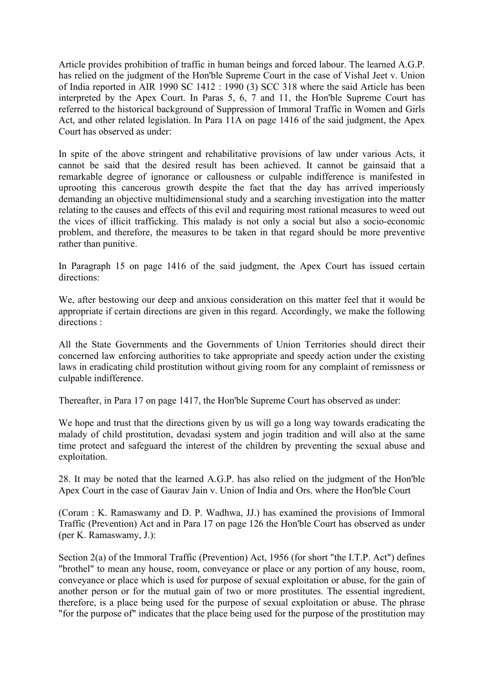Article provides prohibition of traffic in human beings and forced labour. The learned A.G.P. has relied on the judgment of the Hon'ble Supreme Court in the case of Vishal Jeet v. Union of India reported in AIR 1990 SC 1412 : 1990 (3) SCC 318 where the said Article has been interpreted by the Apex Court. In Paras 5, 6, 7 and 11, the Hon'ble Supreme Court has referred to the historical background of Suppression of Immoral Traffic in Women and Girls Act, and other related legislation. In Para 11A on page 1416 of the said judgment, the Apex Court has observed as under:

In spite of the above stringent and rehabilitative provisions of law under various Acts, it cannot be said that the desired result has been achieved. It cannot be gainsaid that a remarkable degree of ignorance or callousness or culpable indifference is manifested in uprooting this cancerous growth despite the fact that the day has arrived imperiously demanding an objective multidimensional study and a searching investigation into the matter relating to the causes and effects of this evil and requiring most rational measures to weed out the vices of illicit trafficking. This malady is not only a social but also a socio-economic problem, and therefore, the measures to be taken in that regard should be more preventive rather than punitive.

In Paragraph 15 on page 1416 of the said judgment, the Apex Court has issued certain directions:

We, after bestowing our deep and anxious consideration on this matter feel that it would be appropriate if certain directions are given in this regard. Accordingly, we make the following directions :

All the State Governments and the Governments of Union Territories should direct their concerned law enforcing authorities to take appropriate and speedy action under the existing laws in eradicating child prostitution without giving room for any complaint of remissness or culpable indifference.

Thereafter, in Para 17 on page 1417, the Hon'ble Supreme Court has observed as under:

We hope and trust that the directions given by us will go a long way towards eradicating the malady of child prostitution, devadasi system and jogin tradition and will also at the same time protect and safeguard the interest of the children by preventing the sexual abuse and exploitation.

28. It may be noted that the learned A.G.P. has also relied on the judgment of the Hon'ble Apex Court in the case of Gaurav Jain v. Union of India and Ors. where the Hon'ble Court

(Coram : K. Ramaswamy and D. P. Wadhwa, JJ.) has examined the provisions of Immoral Traffic (Prevention) Act and in Para 17 on page 126 the Hon'ble Court has observed as under (per K. Ramaswamy, J.):

Section 2(a) of the Immoral Traffic (Prevention) Act, 1956 (for short "the I.T.P. Act") defines "brothel" to mean any house, room, conveyance or place or any portion of any house, room, conveyance or place which is used for purpose of sexual exploitation or abuse, for the gain of another person or for the mutual gain of two or more prostitutes. The essential ingredient, therefore, is a place being used for the purpose of sexual exploitation or abuse. The phrase "for the purpose of" indicates that the place being used for the purpose of the prostitution may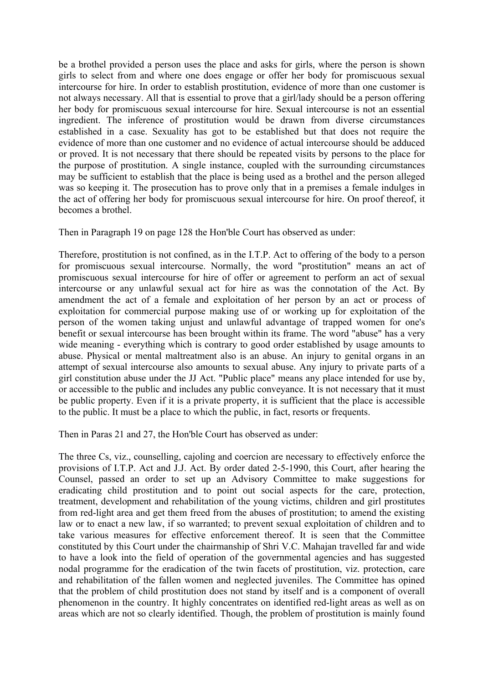be a brothel provided a person uses the place and asks for girls, where the person is shown girls to select from and where one does engage or offer her body for promiscuous sexual intercourse for hire. In order to establish prostitution, evidence of more than one customer is not always necessary. All that is essential to prove that a girl/lady should be a person offering her body for promiscuous sexual intercourse for hire. Sexual intercourse is not an essential ingredient. The inference of prostitution would be drawn from diverse circumstances established in a case. Sexuality has got to be established but that does not require the evidence of more than one customer and no evidence of actual intercourse should be adduced or proved. It is not necessary that there should be repeated visits by persons to the place for the purpose of prostitution. A single instance, coupled with the surrounding circumstances may be sufficient to establish that the place is being used as a brothel and the person alleged was so keeping it. The prosecution has to prove only that in a premises a female indulges in the act of offering her body for promiscuous sexual intercourse for hire. On proof thereof, it becomes a brothel.

Then in Paragraph 19 on page 128 the Hon'ble Court has observed as under:

Therefore, prostitution is not confined, as in the I.T.P. Act to offering of the body to a person for promiscuous sexual intercourse. Normally, the word "prostitution" means an act of promiscuous sexual intercourse for hire of offer or agreement to perform an act of sexual intercourse or any unlawful sexual act for hire as was the connotation of the Act. By amendment the act of a female and exploitation of her person by an act or process of exploitation for commercial purpose making use of or working up for exploitation of the person of the women taking unjust and unlawful advantage of trapped women for one's benefit or sexual intercourse has been brought within its frame. The word "abuse" has a very wide meaning - everything which is contrary to good order established by usage amounts to abuse. Physical or mental maltreatment also is an abuse. An injury to genital organs in an attempt of sexual intercourse also amounts to sexual abuse. Any injury to private parts of a girl constitution abuse under the JJ Act. "Public place" means any place intended for use by, or accessible to the public and includes any public conveyance. It is not necessary that it must be public property. Even if it is a private property, it is sufficient that the place is accessible to the public. It must be a place to which the public, in fact, resorts or frequents.

Then in Paras 21 and 27, the Hon'ble Court has observed as under:

The three Cs, viz., counselling, cajoling and coercion are necessary to effectively enforce the provisions of I.T.P. Act and J.J. Act. By order dated 2-5-1990, this Court, after hearing the Counsel, passed an order to set up an Advisory Committee to make suggestions for eradicating child prostitution and to point out social aspects for the care, protection, treatment, development and rehabilitation of the young victims, children and girl prostitutes from red-light area and get them freed from the abuses of prostitution; to amend the existing law or to enact a new law, if so warranted; to prevent sexual exploitation of children and to take various measures for effective enforcement thereof. It is seen that the Committee constituted by this Court under the chairmanship of Shri V.C. Mahajan travelled far and wide to have a look into the field of operation of the governmental agencies and has suggested nodal programme for the eradication of the twin facets of prostitution, viz. protection, care and rehabilitation of the fallen women and neglected juveniles. The Committee has opined that the problem of child prostitution does not stand by itself and is a component of overall phenomenon in the country. It highly concentrates on identified red-light areas as well as on areas which are not so clearly identified. Though, the problem of prostitution is mainly found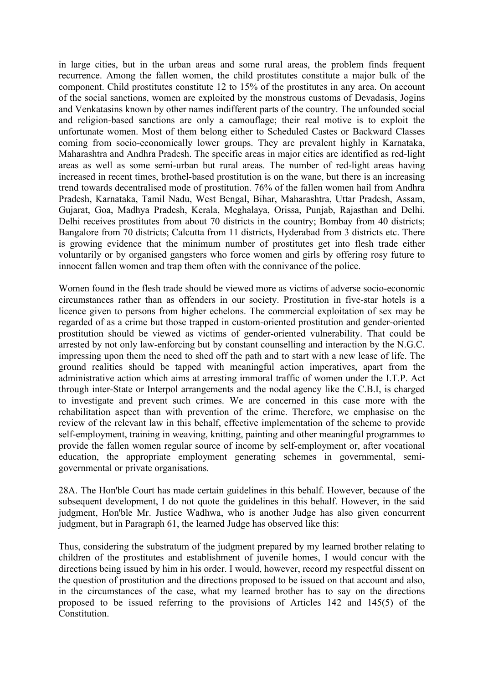in large cities, but in the urban areas and some rural areas, the problem finds frequent recurrence. Among the fallen women, the child prostitutes constitute a major bulk of the component. Child prostitutes constitute 12 to 15% of the prostitutes in any area. On account of the social sanctions, women are exploited by the monstrous customs of Devadasis, Jogins and Venkatasins known by other names indifferent parts of the country. The unfounded social and religion-based sanctions are only a camouflage; their real motive is to exploit the unfortunate women. Most of them belong either to Scheduled Castes or Backward Classes coming from socio-economically lower groups. They are prevalent highly in Karnataka, Maharashtra and Andhra Pradesh. The specific areas in major cities are identified as red-light areas as well as some semi-urban but rural areas. The number of red-light areas having increased in recent times, brothel-based prostitution is on the wane, but there is an increasing trend towards decentralised mode of prostitution. 76% of the fallen women hail from Andhra Pradesh, Karnataka, Tamil Nadu, West Bengal, Bihar, Maharashtra, Uttar Pradesh, Assam, Gujarat, Goa, Madhya Pradesh, Kerala, Meghalaya, Orissa, Punjab, Rajasthan and Delhi. Delhi receives prostitutes from about 70 districts in the country; Bombay from 40 districts; Bangalore from 70 districts; Calcutta from 11 districts, Hyderabad from 3 districts etc. There is growing evidence that the minimum number of prostitutes get into flesh trade either voluntarily or by organised gangsters who force women and girls by offering rosy future to innocent fallen women and trap them often with the connivance of the police.

Women found in the flesh trade should be viewed more as victims of adverse socio-economic circumstances rather than as offenders in our society. Prostitution in five-star hotels is a licence given to persons from higher echelons. The commercial exploitation of sex may be regarded of as a crime but those trapped in custom-oriented prostitution and gender-oriented prostitution should be viewed as victims of gender-oriented vulnerability. That could be arrested by not only law-enforcing but by constant counselling and interaction by the N.G.C. impressing upon them the need to shed off the path and to start with a new lease of life. The ground realities should be tapped with meaningful action imperatives, apart from the administrative action which aims at arresting immoral traffic of women under the I.T.P. Act through inter-State or Interpol arrangements and the nodal agency like the C.B.I, is charged to investigate and prevent such crimes. We are concerned in this case more with the rehabilitation aspect than with prevention of the crime. Therefore, we emphasise on the review of the relevant law in this behalf, effective implementation of the scheme to provide self-employment, training in weaving, knitting, painting and other meaningful programmes to provide the fallen women regular source of income by self-employment or, after vocational education, the appropriate employment generating schemes in governmental, semigovernmental or private organisations.

28A. The Hon'ble Court has made certain guidelines in this behalf. However, because of the subsequent development, I do not quote the guidelines in this behalf. However, in the said judgment, Hon'ble Mr. Justice Wadhwa, who is another Judge has also given concurrent judgment, but in Paragraph 61, the learned Judge has observed like this:

Thus, considering the substratum of the judgment prepared by my learned brother relating to children of the prostitutes and establishment of juvenile homes, I would concur with the directions being issued by him in his order. I would, however, record my respectful dissent on the question of prostitution and the directions proposed to be issued on that account and also, in the circumstances of the case, what my learned brother has to say on the directions proposed to be issued referring to the provisions of Articles 142 and 145(5) of the **Constitution**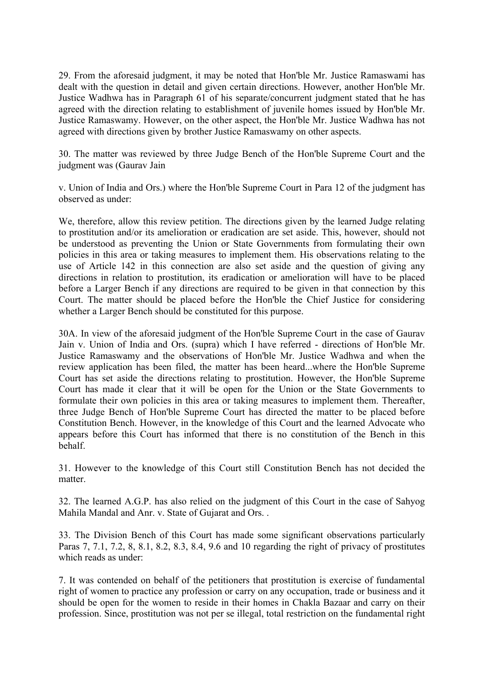29. From the aforesaid judgment, it may be noted that Hon'ble Mr. Justice Ramaswami has dealt with the question in detail and given certain directions. However, another Hon'ble Mr. Justice Wadhwa has in Paragraph 61 of his separate/concurrent judgment stated that he has agreed with the direction relating to establishment of juvenile homes issued by Hon'ble Mr. Justice Ramaswamy. However, on the other aspect, the Hon'ble Mr. Justice Wadhwa has not agreed with directions given by brother Justice Ramaswamy on other aspects.

30. The matter was reviewed by three Judge Bench of the Hon'ble Supreme Court and the judgment was (Gaurav Jain

v. Union of India and Ors.) where the Hon'ble Supreme Court in Para 12 of the judgment has observed as under:

We, therefore, allow this review petition. The directions given by the learned Judge relating to prostitution and/or its amelioration or eradication are set aside. This, however, should not be understood as preventing the Union or State Governments from formulating their own policies in this area or taking measures to implement them. His observations relating to the use of Article 142 in this connection are also set aside and the question of giving any directions in relation to prostitution, its eradication or amelioration will have to be placed before a Larger Bench if any directions are required to be given in that connection by this Court. The matter should be placed before the Hon'ble the Chief Justice for considering whether a Larger Bench should be constituted for this purpose.

30A. In view of the aforesaid judgment of the Hon'ble Supreme Court in the case of Gaurav Jain v. Union of India and Ors. (supra) which I have referred - directions of Hon'ble Mr. Justice Ramaswamy and the observations of Hon'ble Mr. Justice Wadhwa and when the review application has been filed, the matter has been heard...where the Hon'ble Supreme Court has set aside the directions relating to prostitution. However, the Hon'ble Supreme Court has made it clear that it will be open for the Union or the State Governments to formulate their own policies in this area or taking measures to implement them. Thereafter, three Judge Bench of Hon'ble Supreme Court has directed the matter to be placed before Constitution Bench. However, in the knowledge of this Court and the learned Advocate who appears before this Court has informed that there is no constitution of the Bench in this behalf.

31. However to the knowledge of this Court still Constitution Bench has not decided the matter.

32. The learned A.G.P. has also relied on the judgment of this Court in the case of Sahyog Mahila Mandal and Anr. v. State of Gujarat and Ors. .

33. The Division Bench of this Court has made some significant observations particularly Paras 7, 7.1, 7.2, 8, 8.1, 8.2, 8.3, 8.4, 9.6 and 10 regarding the right of privacy of prostitutes which reads as under:

7. It was contended on behalf of the petitioners that prostitution is exercise of fundamental right of women to practice any profession or carry on any occupation, trade or business and it should be open for the women to reside in their homes in Chakla Bazaar and carry on their profession. Since, prostitution was not per se illegal, total restriction on the fundamental right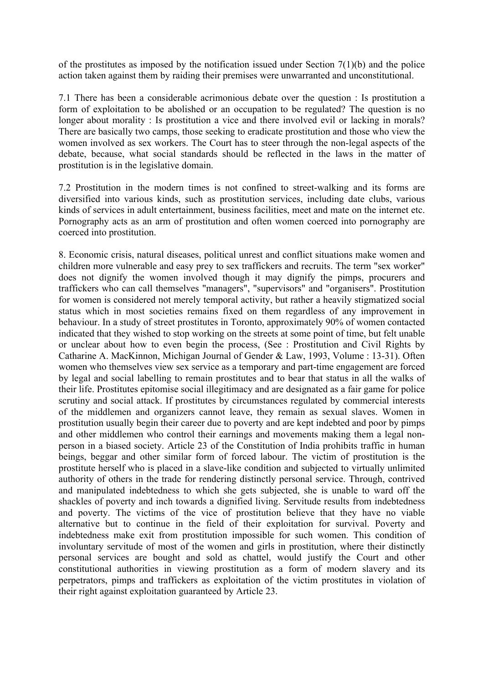of the prostitutes as imposed by the notification issued under Section  $7(1)(b)$  and the police action taken against them by raiding their premises were unwarranted and unconstitutional.

7.1 There has been a considerable acrimonious debate over the question : Is prostitution a form of exploitation to be abolished or an occupation to be regulated? The question is no longer about morality : Is prostitution a vice and there involved evil or lacking in morals? There are basically two camps, those seeking to eradicate prostitution and those who view the women involved as sex workers. The Court has to steer through the non-legal aspects of the debate, because, what social standards should be reflected in the laws in the matter of prostitution is in the legislative domain.

7.2 Prostitution in the modern times is not confined to street-walking and its forms are diversified into various kinds, such as prostitution services, including date clubs, various kinds of services in adult entertainment, business facilities, meet and mate on the internet etc. Pornography acts as an arm of prostitution and often women coerced into pornography are coerced into prostitution.

8. Economic crisis, natural diseases, political unrest and conflict situations make women and children more vulnerable and easy prey to sex traffickers and recruits. The term "sex worker" does not dignify the women involved though it may dignify the pimps, procurers and traffickers who can call themselves "managers", "supervisors" and "organisers". Prostitution for women is considered not merely temporal activity, but rather a heavily stigmatized social status which in most societies remains fixed on them regardless of any improvement in behaviour. In a study of street prostitutes in Toronto, approximately 90% of women contacted indicated that they wished to stop working on the streets at some point of time, but felt unable or unclear about how to even begin the process, (See : Prostitution and Civil Rights by Catharine A. MacKinnon, Michigan Journal of Gender & Law, 1993, Volume : 13-31). Often women who themselves view sex service as a temporary and part-time engagement are forced by legal and social labelling to remain prostitutes and to bear that status in all the walks of their life. Prostitutes epitomise social illegitimacy and are designated as a fair game for police scrutiny and social attack. If prostitutes by circumstances regulated by commercial interests of the middlemen and organizers cannot leave, they remain as sexual slaves. Women in prostitution usually begin their career due to poverty and are kept indebted and poor by pimps and other middlemen who control their earnings and movements making them a legal nonperson in a biased society. Article 23 of the Constitution of India prohibits traffic in human beings, beggar and other similar form of forced labour. The victim of prostitution is the prostitute herself who is placed in a slave-like condition and subjected to virtually unlimited authority of others in the trade for rendering distinctly personal service. Through, contrived and manipulated indebtedness to which she gets subjected, she is unable to ward off the shackles of poverty and inch towards a dignified living. Servitude results from indebtedness and poverty. The victims of the vice of prostitution believe that they have no viable alternative but to continue in the field of their exploitation for survival. Poverty and indebtedness make exit from prostitution impossible for such women. This condition of involuntary servitude of most of the women and girls in prostitution, where their distinctly personal services are bought and sold as chattel, would justify the Court and other constitutional authorities in viewing prostitution as a form of modern slavery and its perpetrators, pimps and traffickers as exploitation of the victim prostitutes in violation of their right against exploitation guaranteed by Article 23.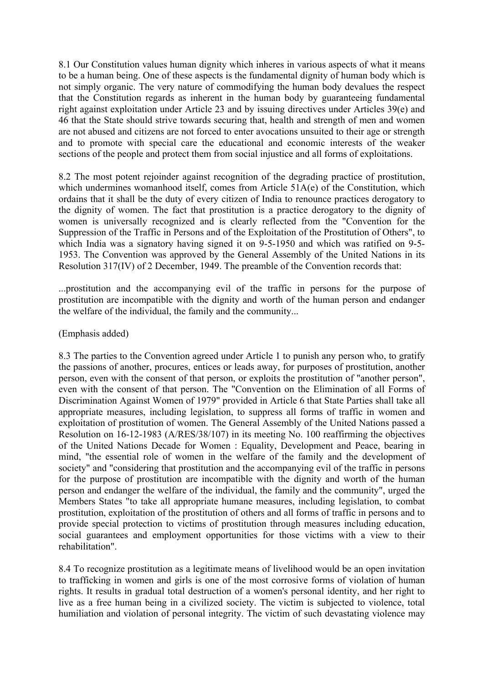8.1 Our Constitution values human dignity which inheres in various aspects of what it means to be a human being. One of these aspects is the fundamental dignity of human body which is not simply organic. The very nature of commodifying the human body devalues the respect that the Constitution regards as inherent in the human body by guaranteeing fundamental right against exploitation under Article 23 and by issuing directives under Articles 39(e) and 46 that the State should strive towards securing that, health and strength of men and women are not abused and citizens are not forced to enter avocations unsuited to their age or strength and to promote with special care the educational and economic interests of the weaker sections of the people and protect them from social injustice and all forms of exploitations.

8.2 The most potent rejoinder against recognition of the degrading practice of prostitution, which undermines womanhood itself, comes from Article 51A(e) of the Constitution, which ordains that it shall be the duty of every citizen of India to renounce practices derogatory to the dignity of women. The fact that prostitution is a practice derogatory to the dignity of women is universally recognized and is clearly reflected from the "Convention for the Suppression of the Traffic in Persons and of the Exploitation of the Prostitution of Others", to which India was a signatory having signed it on 9-5-1950 and which was ratified on 9-5- 1953. The Convention was approved by the General Assembly of the United Nations in its Resolution 317(IV) of 2 December, 1949. The preamble of the Convention records that:

...prostitution and the accompanying evil of the traffic in persons for the purpose of prostitution are incompatible with the dignity and worth of the human person and endanger the welfare of the individual, the family and the community...

### (Emphasis added)

8.3 The parties to the Convention agreed under Article 1 to punish any person who, to gratify the passions of another, procures, entices or leads away, for purposes of prostitution, another person, even with the consent of that person, or exploits the prostitution of "another person", even with the consent of that person. The "Convention on the Elimination of all Forms of Discrimination Against Women of 1979" provided in Article 6 that State Parties shall take all appropriate measures, including legislation, to suppress all forms of traffic in women and exploitation of prostitution of women. The General Assembly of the United Nations passed a Resolution on 16-12-1983 (A/RES/38/107) in its meeting No. 100 reaffirming the objectives of the United Nations Decade for Women : Equality, Development and Peace, bearing in mind, "the essential role of women in the welfare of the family and the development of society" and "considering that prostitution and the accompanying evil of the traffic in persons for the purpose of prostitution are incompatible with the dignity and worth of the human person and endanger the welfare of the individual, the family and the community", urged the Members States "to take all appropriate humane measures, including legislation, to combat prostitution, exploitation of the prostitution of others and all forms of traffic in persons and to provide special protection to victims of prostitution through measures including education, social guarantees and employment opportunities for those victims with a view to their rehabilitation".

8.4 To recognize prostitution as a legitimate means of livelihood would be an open invitation to trafficking in women and girls is one of the most corrosive forms of violation of human rights. It results in gradual total destruction of a women's personal identity, and her right to live as a free human being in a civilized society. The victim is subjected to violence, total humiliation and violation of personal integrity. The victim of such devastating violence may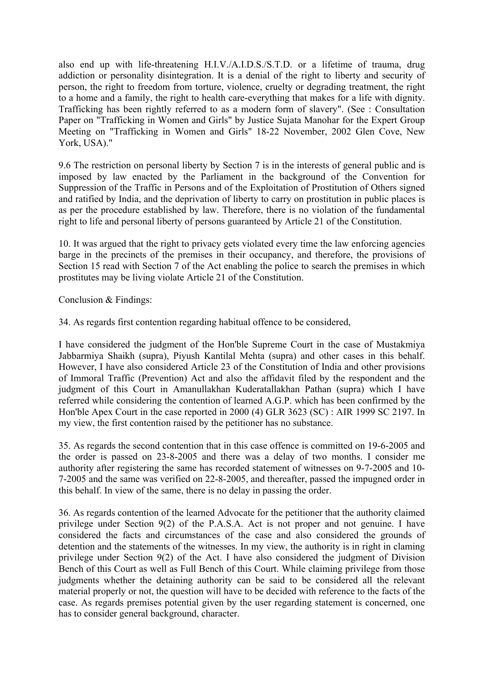also end up with life-threatening H.I.V./A.I.D.S./S.T.D. or a lifetime of trauma, drug addiction or personality disintegration. It is a denial of the right to liberty and security of person, the right to freedom from torture, violence, cruelty or degrading treatment, the right to a home and a family, the right to health care-everything that makes for a life with dignity. Trafficking has been rightly referred to as a modern form of slavery". (See : Consultation Paper on "Trafficking in Women and Girls" by Justice Sujata Manohar for the Expert Group Meeting on "Trafficking in Women and Girls" 18-22 November, 2002 Glen Cove, New York, USA)."

9.6 The restriction on personal liberty by Section 7 is in the interests of general public and is imposed by law enacted by the Parliament in the background of the Convention for Suppression of the Traffic in Persons and of the Exploitation of Prostitution of Others signed and ratified by India, and the deprivation of liberty to carry on prostitution in public places is as per the procedure established by law. Therefore, there is no violation of the fundamental right to life and personal liberty of persons guaranteed by Article 21 of the Constitution.

10. It was argued that the right to privacy gets violated every time the law enforcing agencies barge in the precincts of the premises in their occupancy, and therefore, the provisions of Section 15 read with Section 7 of the Act enabling the police to search the premises in which prostitutes may be living violate Article 21 of the Constitution.

Conclusion & Findings:

34. As regards first contention regarding habitual offence to be considered,

I have considered the judgment of the Hon'ble Supreme Court in the case of Mustakmiya Jabbarmiya Shaikh (supra), Piyush Kantilal Mehta (supra) and other cases in this behalf. However, I have also considered Article 23 of the Constitution of India and other provisions of Immoral Traffic (Prevention) Act and also the affidavit filed by the respondent and the judgment of this Court in Amanullakhan Kuderatallakhan Pathan (supra) which I have referred while considering the contention of learned A.G.P. which has been confirmed by the Hon'ble Apex Court in the case reported in 2000 (4) GLR 3623 (SC) : AIR 1999 SC 2197. In my view, the first contention raised by the petitioner has no substance.

35. As regards the second contention that in this case offence is committed on 19-6-2005 and the order is passed on 23-8-2005 and there was a delay of two months. I consider me authority after registering the same has recorded statement of witnesses on 9-7-2005 and 10- 7-2005 and the same was verified on 22-8-2005, and thereafter, passed the impugned order in this behalf. In view of the same, there is no delay in passing the order.

36. As regards contention of the learned Advocate for the petitioner that the authority claimed privilege under Section 9(2) of the P.A.S.A. Act is not proper and not genuine. I have considered the facts and circumstances of the case and also considered the grounds of detention and the statements of the witnesses. In my view, the authority is in right in claming privilege under Section 9(2) of the Act. I have also considered the judgment of Division Bench of this Court as well as Full Bench of this Court. While claiming privilege from those judgments whether the detaining authority can be said to be considered all the relevant material properly or not, the question will have to be decided with reference to the facts of the case. As regards premises potential given by the user regarding statement is concerned, one has to consider general background, character.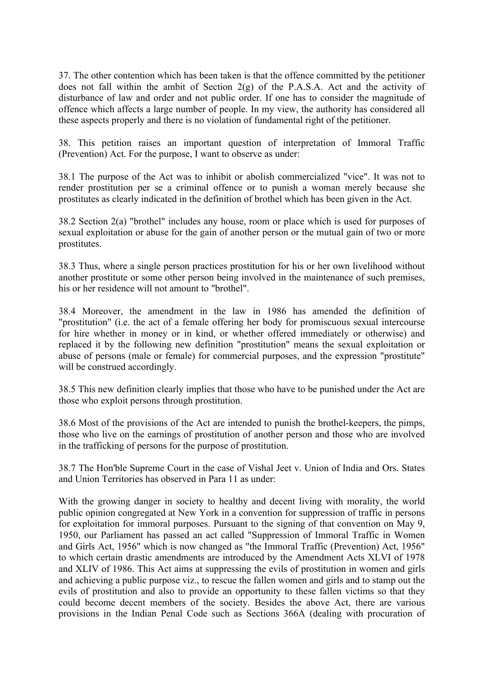37. The other contention which has been taken is that the offence committed by the petitioner does not fall within the ambit of Section 2(g) of the P.A.S.A. Act and the activity of disturbance of law and order and not public order. If one has to consider the magnitude of offence which affects a large number of people. In my view, the authority has considered all these aspects properly and there is no violation of fundamental right of the petitioner.

38. This petition raises an important question of interpretation of Immoral Traffic (Prevention) Act. For the purpose, I want to observe as under:

38.1 The purpose of the Act was to inhibit or abolish commercialized "vice". It was not to render prostitution per se a criminal offence or to punish a woman merely because she prostitutes as clearly indicated in the definition of brothel which has been given in the Act.

38.2 Section 2(a) "brothel" includes any house, room or place which is used for purposes of sexual exploitation or abuse for the gain of another person or the mutual gain of two or more prostitutes.

38.3 Thus, where a single person practices prostitution for his or her own livelihood without another prostitute or some other person being involved in the maintenance of such premises, his or her residence will not amount to "brothel".

38.4 Moreover, the amendment in the law in 1986 has amended the definition of "prostitution" (i.e. the act of a female offering her body for promiscuous sexual intercourse for hire whether in money or in kind, or whether offered immediately or otherwise) and replaced it by the following new definition "prostitution" means the sexual exploitation or abuse of persons (male or female) for commercial purposes, and the expression "prostitute" will be construed accordingly.

38.5 This new definition clearly implies that those who have to be punished under the Act are those who exploit persons through prostitution.

38.6 Most of the provisions of the Act are intended to punish the brothel-keepers, the pimps, those who live on the earnings of prostitution of another person and those who are involved in the trafficking of persons for the purpose of prostitution.

38.7 The Hon'ble Supreme Court in the case of Vishal Jeet v. Union of India and Ors. States and Union Territories has observed in Para 11 as under:

With the growing danger in society to healthy and decent living with morality, the world public opinion congregated at New York in a convention for suppression of traffic in persons for exploitation for immoral purposes. Pursuant to the signing of that convention on May 9, 1950, our Parliament has passed an act called "Suppression of Immoral Traffic in Women and Girls Act, 1956" which is now changed as "the Immoral Traffic (Prevention) Act, 1956" to which certain drastic amendments are introduced by the Amendment Acts XLVI of 1978 and XLIV of 1986. This Act aims at suppressing the evils of prostitution in women and girls and achieving a public purpose viz., to rescue the fallen women and girls and to stamp out the evils of prostitution and also to provide an opportunity to these fallen victims so that they could become decent members of the society. Besides the above Act, there are various provisions in the Indian Penal Code such as Sections 366A (dealing with procuration of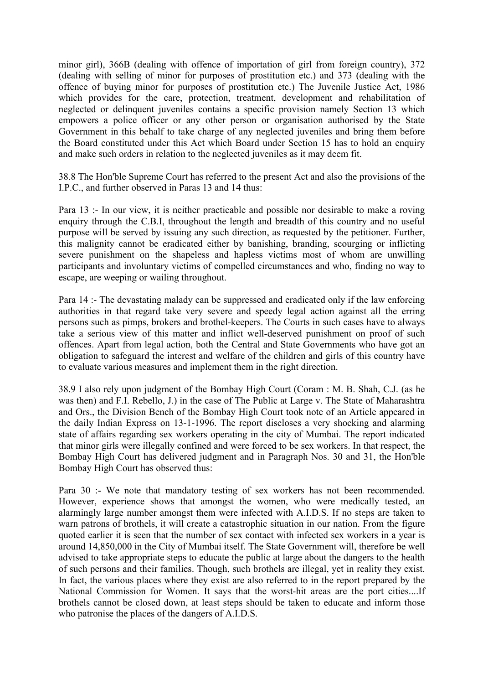minor girl), 366B (dealing with offence of importation of girl from foreign country), 372 (dealing with selling of minor for purposes of prostitution etc.) and 373 (dealing with the offence of buying minor for purposes of prostitution etc.) The Juvenile Justice Act, 1986 which provides for the care, protection, treatment, development and rehabilitation of neglected or delinquent juveniles contains a specific provision namely Section 13 which empowers a police officer or any other person or organisation authorised by the State Government in this behalf to take charge of any neglected juveniles and bring them before the Board constituted under this Act which Board under Section 15 has to hold an enquiry and make such orders in relation to the neglected juveniles as it may deem fit.

38.8 The Hon'ble Supreme Court has referred to the present Act and also the provisions of the I.P.C., and further observed in Paras 13 and 14 thus:

Para 13 :- In our view, it is neither practicable and possible nor desirable to make a roving enquiry through the C.B.I, throughout the length and breadth of this country and no useful purpose will be served by issuing any such direction, as requested by the petitioner. Further, this malignity cannot be eradicated either by banishing, branding, scourging or inflicting severe punishment on the shapeless and hapless victims most of whom are unwilling participants and involuntary victims of compelled circumstances and who, finding no way to escape, are weeping or wailing throughout.

Para 14 :- The devastating malady can be suppressed and eradicated only if the law enforcing authorities in that regard take very severe and speedy legal action against all the erring persons such as pimps, brokers and brothel-keepers. The Courts in such cases have to always take a serious view of this matter and inflict well-deserved punishment on proof of such offences. Apart from legal action, both the Central and State Governments who have got an obligation to safeguard the interest and welfare of the children and girls of this country have to evaluate various measures and implement them in the right direction.

38.9 I also rely upon judgment of the Bombay High Court (Coram : M. B. Shah, C.J. (as he was then) and F.I. Rebello, J.) in the case of The Public at Large v. The State of Maharashtra and Ors., the Division Bench of the Bombay High Court took note of an Article appeared in the daily Indian Express on 13-1-1996. The report discloses a very shocking and alarming state of affairs regarding sex workers operating in the city of Mumbai. The report indicated that minor girls were illegally confined and were forced to be sex workers. In that respect, the Bombay High Court has delivered judgment and in Paragraph Nos. 30 and 31, the Hon'ble Bombay High Court has observed thus:

Para 30 :- We note that mandatory testing of sex workers has not been recommended. However, experience shows that amongst the women, who were medically tested, an alarmingly large number amongst them were infected with A.I.D.S. If no steps are taken to warn patrons of brothels, it will create a catastrophic situation in our nation. From the figure quoted earlier it is seen that the number of sex contact with infected sex workers in a year is around 14,850,000 in the City of Mumbai itself. The State Government will, therefore be well advised to take appropriate steps to educate the public at large about the dangers to the health of such persons and their families. Though, such brothels are illegal, yet in reality they exist. In fact, the various places where they exist are also referred to in the report prepared by the National Commission for Women. It says that the worst-hit areas are the port cities....If brothels cannot be closed down, at least steps should be taken to educate and inform those who patronise the places of the dangers of A.I.D.S.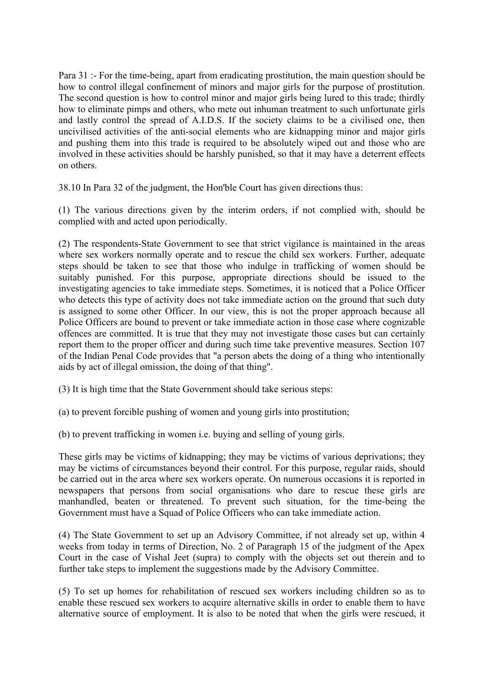Para 31 :- For the time-being, apart from eradicating prostitution, the main question should be how to control illegal confinement of minors and major girls for the purpose of prostitution. The second question is how to control minor and major girls being lured to this trade; thirdly how to eliminate pimps and others, who mete out inhuman treatment to such unfortunate girls and lastly control the spread of A.I.D.S. If the society claims to be a civilised one, then uncivilised activities of the anti-social elements who are kidnapping minor and major girls and pushing them into this trade is required to be absolutely wiped out and those who are involved in these activities should be harshly punished, so that it may have a deterrent effects on others.

38.10 In Para 32 of the judgment, the Hon'ble Court has given directions thus:

(1) The various directions given by the interim orders, if not complied with, should be complied with and acted upon periodically.

(2) The respondents-State Government to see that strict vigilance is maintained in the areas where sex workers normally operate and to rescue the child sex workers. Further, adequate steps should be taken to see that those who indulge in trafficking of women should be suitably punished. For this purpose, appropriate directions should be issued to the investigating agencies to take immediate steps. Sometimes, it is noticed that a Police Officer who detects this type of activity does not take immediate action on the ground that such duty is assigned to some other Officer. In our view, this is not the proper approach because all Police Officers are bound to prevent or take immediate action in those case where cognizable offences are committed. It is true that they may not investigate those cases but can certainly report them to the proper officer and during such time take preventive measures. Section 107 of the Indian Penal Code provides that "a person abets the doing of a thing who intentionally aids by act of illegal omission, the doing of that thing".

(3) It is high time that the State Government should take serious steps:

(a) to prevent forcible pushing of women and young girls into prostitution;

(b) to prevent trafficking in women i.e. buying and selling of young girls.

These girls may be victims of kidnapping; they may be victims of various deprivations; they may be victims of circumstances beyond their control. For this purpose, regular raids, should be carried out in the area where sex workers operate. On numerous occasions it is reported in newspapers that persons from social organisations who dare to rescue these girls are manhandled, beaten or threatened. To prevent such situation, for the time-being the Government must have a Squad of Police Officers who can take immediate action.

(4) The State Government to set up an Advisory Committee, if not already set up, within 4 weeks from today in terms of Direction, No. 2 of Paragraph 15 of the judgment of the Apex Court in the case of Vishal Jeet (supra) to comply with the objects set out therein and to further take steps to implement the suggestions made by the Advisory Committee.

(5) To set up homes for rehabilitation of rescued sex workers including children so as to enable these rescued sex workers to acquire alternative skills in order to enable them to have alternative source of employment. It is also to be noted that when the girls were rescued, it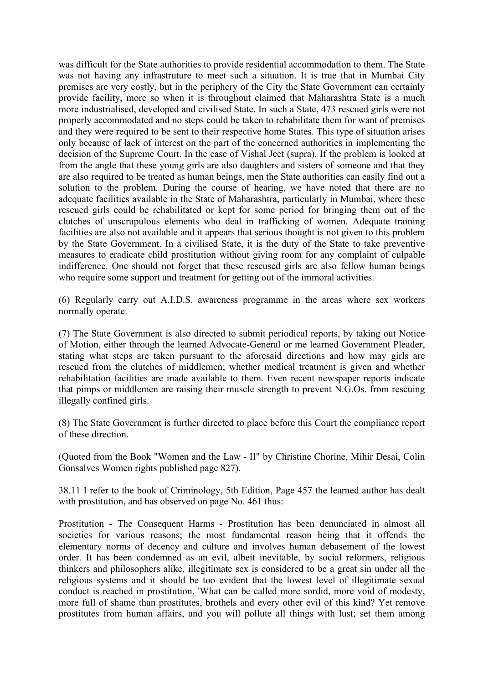was difficult for the State authorities to provide residential accommodation to them. The State was not having any infrastruture to meet such a situation. It is true that in Mumbai City premises are very costly, but in the periphery of the City the State Government can certainly provide facility, more so when it is throughout claimed that Maharashtra State is a much more industrialised, developed and civilised State. In such a State, 473 rescued girls were not properly accommodated and no steps could be taken to rehabilitate them for want of premises and they were required to be sent to their respective home States. This type of situation arises only because of lack of interest on the part of the concerned authorities in implementing the decision of the Supreme Court. In the case of Vishal Jeet (supra). If the problem is looked at from the angle that these young girls are also daughters and sisters of someone and that they are also required to be treated as human beings, men the State authorities can easily find out a solution to the problem. During the course of hearing, we have noted that there are no adequate facilities available in the State of Maharashtra, particularly in Mumbai, where these rescued girls could be rehabilitated or kept for some period for bringing them out of the clutches of unscrupulous elements who deal in trafficking of women. Adequate training facilities are also not available and it appears that serious thought is not given to this problem by the State Government. In a civilised State, it is the duty of the State to take preventive measures to eradicate child prostitution without giving room for any complaint of culpable indifference. One should not forget that these rescused girls are also fellow human beings who require some support and treatment for getting out of the immoral activities.

(6) Regularly carry out A.I.D.S. awareness programme in the areas where sex workers normally operate.

(7) The State Government is also directed to submit periodical reports, by taking out Notice of Motion, either through the learned Advocate-General or me learned Government Pleader, stating what steps are taken pursuant to the aforesaid directions and how may girls are rescued from the clutches of middlemen; whether medical treatment is given and whether rehabilitation facilities are made available to them. Even recent newspaper reports indicate that pimps or middlemen are raising their muscle strength to prevent N.G.Os. from rescuing illegally confined girls.

(8) The State Government is further directed to place before this Court the compliance report of these direction.

(Quoted from the Book "Women and the Law - II" by Christine Chorine, Mihir Desai, Colin Gonsalves Women rights published page 827).

38.11 I refer to the book of Criminology, 5th Edition, Page 457 the learned author has dealt with prostitution, and has observed on page No. 461 thus:

Prostitution - The Consequent Harms - Prostitution has been denunciated in almost all societies for various reasons; the most fundamental reason being that it offends the elementary norms of decency and culture and involves human debasement of the lowest order. It has been condemned as an evil, albeit inevitable, by social reformers, religious thinkers and philosophers alike, illegitimate sex is considered to be a great sin under all the religious systems and it should be too evident that the lowest level of illegitimate sexual conduct is reached in prostitution. 'What can be called more sordid, more void of modesty, more full of shame than prostitutes, brothels and every other evil of this kind? Yet remove prostitutes from human affairs, and you will pollute all things with lust; set them among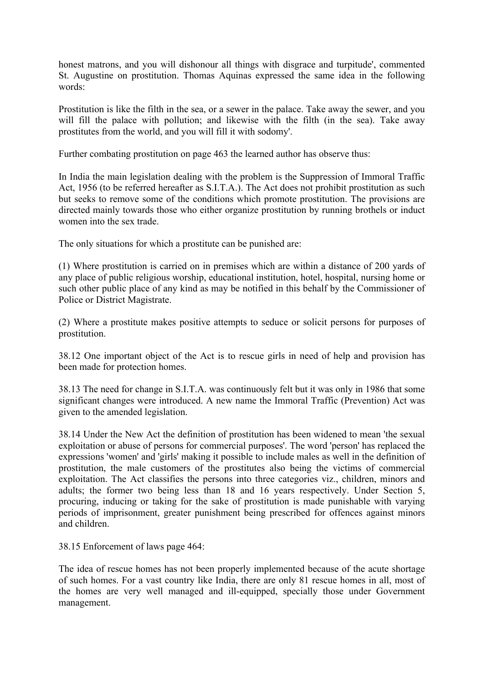honest matrons, and you will dishonour all things with disgrace and turpitude', commented St. Augustine on prostitution. Thomas Aquinas expressed the same idea in the following words:

Prostitution is like the filth in the sea, or a sewer in the palace. Take away the sewer, and you will fill the palace with pollution; and likewise with the filth (in the sea). Take away prostitutes from the world, and you will fill it with sodomy'.

Further combating prostitution on page 463 the learned author has observe thus:

In India the main legislation dealing with the problem is the Suppression of Immoral Traffic Act, 1956 (to be referred hereafter as S.I.T.A.). The Act does not prohibit prostitution as such but seeks to remove some of the conditions which promote prostitution. The provisions are directed mainly towards those who either organize prostitution by running brothels or induct women into the sex trade.

The only situations for which a prostitute can be punished are:

(1) Where prostitution is carried on in premises which are within a distance of 200 yards of any place of public religious worship, educational institution, hotel, hospital, nursing home or such other public place of any kind as may be notified in this behalf by the Commissioner of Police or District Magistrate.

(2) Where a prostitute makes positive attempts to seduce or solicit persons for purposes of prostitution.

38.12 One important object of the Act is to rescue girls in need of help and provision has been made for protection homes.

38.13 The need for change in S.I.T.A. was continuously felt but it was only in 1986 that some significant changes were introduced. A new name the Immoral Traffic (Prevention) Act was given to the amended legislation.

38.14 Under the New Act the definition of prostitution has been widened to mean 'the sexual exploitation or abuse of persons for commercial purposes'. The word 'person' has replaced the expressions 'women' and 'girls' making it possible to include males as well in the definition of prostitution, the male customers of the prostitutes also being the victims of commercial exploitation. The Act classifies the persons into three categories viz., children, minors and adults; the former two being less than 18 and 16 years respectively. Under Section 5, procuring, inducing or taking for the sake of prostitution is made punishable with varying periods of imprisonment, greater punishment being prescribed for offences against minors and children.

38.15 Enforcement of laws page 464:

The idea of rescue homes has not been properly implemented because of the acute shortage of such homes. For a vast country like India, there are only 81 rescue homes in all, most of the homes are very well managed and ill-equipped, specially those under Government management.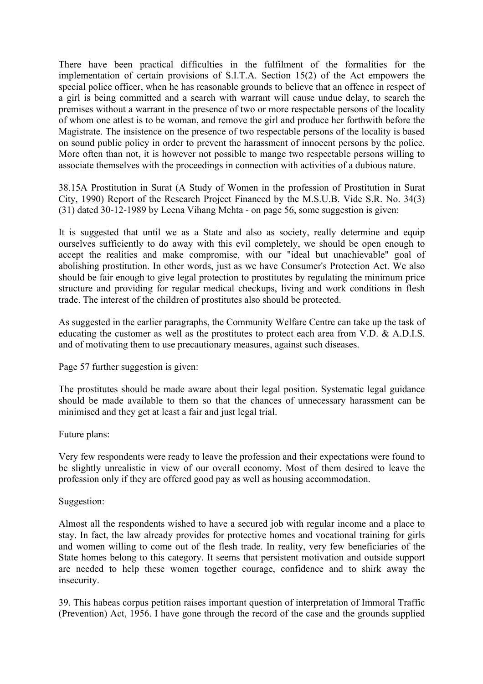There have been practical difficulties in the fulfilment of the formalities for the implementation of certain provisions of S.I.T.A. Section 15(2) of the Act empowers the special police officer, when he has reasonable grounds to believe that an offence in respect of a girl is being committed and a search with warrant will cause undue delay, to search the premises without a warrant in the presence of two or more respectable persons of the locality of whom one atlest is to be woman, and remove the girl and produce her forthwith before the Magistrate. The insistence on the presence of two respectable persons of the locality is based on sound public policy in order to prevent the harassment of innocent persons by the police. More often than not, it is however not possible to mange two respectable persons willing to associate themselves with the proceedings in connection with activities of a dubious nature.

38.15A Prostitution in Surat (A Study of Women in the profession of Prostitution in Surat City, 1990) Report of the Research Project Financed by the M.S.U.B. Vide S.R. No. 34(3) (31) dated 30-12-1989 by Leena Vihang Mehta - on page 56, some suggestion is given:

It is suggested that until we as a State and also as society, really determine and equip ourselves sufficiently to do away with this evil completely, we should be open enough to accept the realities and make compromise, with our "ideal but unachievable" goal of abolishing prostitution. In other words, just as we have Consumer's Protection Act. We also should be fair enough to give legal protection to prostitutes by regulating the minimum price structure and providing for regular medical checkups, living and work conditions in flesh trade. The interest of the children of prostitutes also should be protected.

As suggested in the earlier paragraphs, the Community Welfare Centre can take up the task of educating the customer as well as the prostitutes to protect each area from V.D. & A.D.I.S. and of motivating them to use precautionary measures, against such diseases.

Page 57 further suggestion is given:

The prostitutes should be made aware about their legal position. Systematic legal guidance should be made available to them so that the chances of unnecessary harassment can be minimised and they get at least a fair and just legal trial.

Future plans:

Very few respondents were ready to leave the profession and their expectations were found to be slightly unrealistic in view of our overall economy. Most of them desired to leave the profession only if they are offered good pay as well as housing accommodation.

#### Suggestion:

Almost all the respondents wished to have a secured job with regular income and a place to stay. In fact, the law already provides for protective homes and vocational training for girls and women willing to come out of the flesh trade. In reality, very few beneficiaries of the State homes belong to this category. It seems that persistent motivation and outside support are needed to help these women together courage, confidence and to shirk away the insecurity.

39. This habeas corpus petition raises important question of interpretation of Immoral Traffic (Prevention) Act, 1956. I have gone through the record of the case and the grounds supplied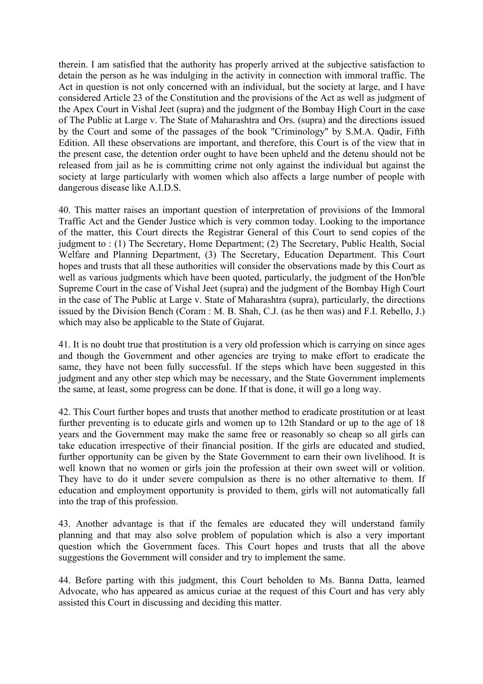therein. I am satisfied that the authority has properly arrived at the subjective satisfaction to detain the person as he was indulging in the activity in connection with immoral traffic. The Act in question is not only concerned with an individual, but the society at large, and I have considered Article 23 of the Constitution and the provisions of the Act as well as judgment of the Apex Court in Vishal Jeet (supra) and the judgment of the Bombay High Court in the case of The Public at Large v. The State of Maharashtra and Ors. (supra) and the directions issued by the Court and some of the passages of the book "Criminology" by S.M.A. Qadir, Fifth Edition. All these observations are important, and therefore, this Court is of the view that in the present case, the detention order ought to have been upheld and the detenu should not be released from jail as he is committing crime not only against the individual but against the society at large particularly with women which also affects a large number of people with dangerous disease like A.I.D.S.

40. This matter raises an important question of interpretation of provisions of the Immoral Traffic Act and the Gender Justice which is very common today. Looking to the importance of the matter, this Court directs the Registrar General of this Court to send copies of the judgment to : (1) The Secretary, Home Department; (2) The Secretary, Public Health, Social Welfare and Planning Department, (3) The Secretary, Education Department. This Court hopes and trusts that all these authorities will consider the observations made by this Court as well as various judgments which have been quoted, particularly, the judgment of the Hon'ble Supreme Court in the case of Vishal Jeet (supra) and the judgment of the Bombay High Court in the case of The Public at Large v. State of Maharashtra (supra), particularly, the directions issued by the Division Bench (Coram : M. B. Shah, C.J. (as he then was) and F.I. Rebello, J.) which may also be applicable to the State of Gujarat.

41. It is no doubt true that prostitution is a very old profession which is carrying on since ages and though the Government and other agencies are trying to make effort to eradicate the same, they have not been fully successful. If the steps which have been suggested in this judgment and any other step which may be necessary, and the State Government implements the same, at least, some progress can be done. If that is done, it will go a long way.

42. This Court further hopes and trusts that another method to eradicate prostitution or at least further preventing is to educate girls and women up to 12th Standard or up to the age of 18 years and the Government may make the same free or reasonably so cheap so all girls can take education irrespective of their financial position. If the girls are educated and studied, further opportunity can be given by the State Government to earn their own livelihood. It is well known that no women or girls join the profession at their own sweet will or volition. They have to do it under severe compulsion as there is no other alternative to them. If education and employment opportunity is provided to them, girls will not automatically fall into the trap of this profession.

43. Another advantage is that if the females are educated they will understand family planning and that may also solve problem of population which is also a very important question which the Government faces. This Court hopes and trusts that all the above suggestions the Government will consider and try to implement the same.

44. Before parting with this judgment, this Court beholden to Ms. Banna Datta, learned Advocate, who has appeared as amicus curiae at the request of this Court and has very ably assisted this Court in discussing and deciding this matter.